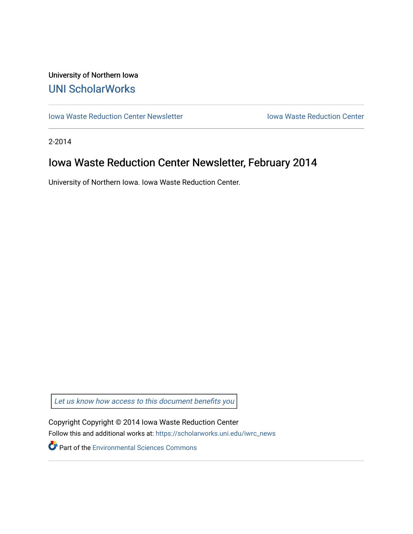## University of Northern Iowa [UNI ScholarWorks](https://scholarworks.uni.edu/)

[Iowa Waste Reduction Center Newsletter](https://scholarworks.uni.edu/iwrc_news) **Internal Communist Communist Center** Iowa Waste Reduction Center

2-2014

# Iowa Waste Reduction Center Newsletter, February 2014

University of Northern Iowa. Iowa Waste Reduction Center.

Let us know how access to this document benefits you

Copyright Copyright © 2014 Iowa Waste Reduction Center Follow this and additional works at: [https://scholarworks.uni.edu/iwrc\\_news](https://scholarworks.uni.edu/iwrc_news?utm_source=scholarworks.uni.edu%2Fiwrc_news%2F74&utm_medium=PDF&utm_campaign=PDFCoverPages) 

**Part of the [Environmental Sciences Commons](http://network.bepress.com/hgg/discipline/167?utm_source=scholarworks.uni.edu%2Fiwrc_news%2F74&utm_medium=PDF&utm_campaign=PDFCoverPages)**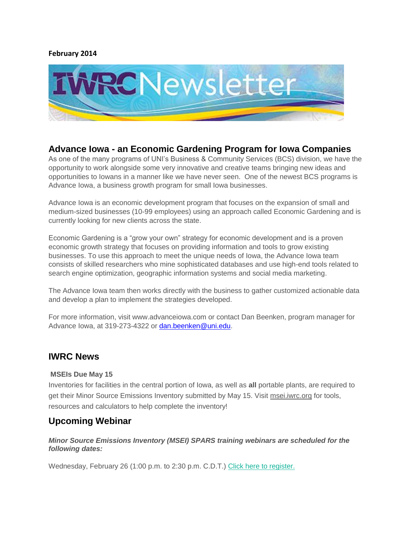#### **February 2014**



## **Advance Iowa - an Economic Gardening Program for Iowa Companies**

As one of the many programs of UNI's Business & Community Services (BCS) division, we have the opportunity to work alongside some very innovative and creative teams bringing new ideas and opportunities to Iowans in a manner like we have never seen. One of the newest BCS programs is Advance Iowa, a business growth program for small Iowa businesses.

Advance Iowa is an economic development program that focuses on the expansion of small and medium-sized businesses (10-99 employees) using an approach called Economic Gardening and is currently looking for new clients across the state.

Economic Gardening is a "grow your own" strategy for economic development and is a proven economic growth strategy that focuses on providing information and tools to grow existing businesses. To use this approach to meet the unique needs of Iowa, the Advance Iowa team consists of skilled researchers who mine sophisticated databases and use high-end tools related to search engine optimization, geographic information systems and social media marketing.

The Advance Iowa team then works directly with the business to gather customized actionable data and develop a plan to implement the strategies developed.

For more information, visit www.advanceiowa.com or contact Dan Beenken, program manager for Advance Iowa, at 319-273-4322 or [dan.beenken@uni.edu.](mailto:dan.beenken@uni.edu)

## **IWRC News**

#### **MSEIs Due May 15**

Inventories for facilities in the central portion of Iowa, as well as **all** portable plants, are required to get their Minor Source Emissions Inventory submitted by May 15. Visit [msei.iwrc.org](http://msei.iwrc.org/) for tools, resources and calculators to help complete the inventory!

## **Upcoming Webinar**

#### *Minor Source Emissions Inventory (MSEI) SPARS training webinars are scheduled for the following dates:*

Wednesday, February 26 (1:00 p.m. to 2:30 p.m. C.D.T.) [Click here to register.](https://www2.gotomeeting.com/register/923979618)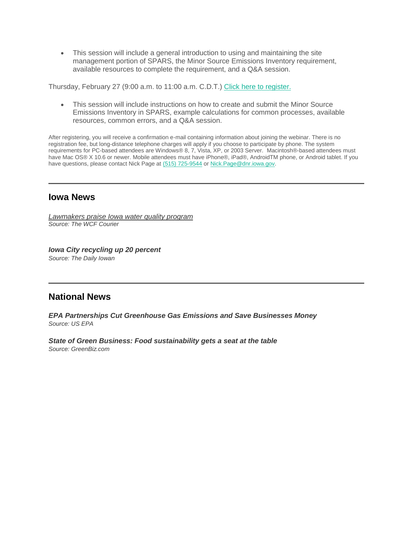• This session will include a general introduction to using and maintaining the site management portion of SPARS, the Minor Source Emissions Inventory requirement, available resources to complete the requirement, and a Q&A session.

Thursday, February 27 (9:00 a.m. to 11:00 a.m. C.D.T.) [Click here to register.](https://www2.gotomeeting.com/register/496475874)

• This session will include instructions on how to create and submit the Minor Source Emissions Inventory in SPARS, example calculations for common processes, available resources, common errors, and a Q&A session.

After registering, you will receive a confirmation e-mail containing information about joining the webinar. There is no registration fee, but long-distance telephone charges will apply if you choose to participate by phone. The system requirements for PC-based attendees are Windows® 8, 7, Vista, XP, or 2003 Server. Macintosh®-based attendees must have Mac OS® X 10.6 or newer. Mobile attendees must have iPhone®, iPad®, AndroidTM phone, or Android tablet. If you have questions, please contact Nick Page at [\(515\) 725-9544](tel:%28515%29%20725-9544) or Nick. Page@dnr.iowa.gov.

## **Iowa News**

*[Lawmakers praise Iowa water quality program](http://wcfcourier.com/news/local/govt-and-politics/lawmakers-praise-iowa-water-quality-program/article_8c469fd2-4722-526e-b71b-9066cc28d290.html) Source: The WCF Courier*

*[Iowa City recycling up 20 percent](http://www.dailyiowan.com/2014/01/22/Metro/36207.html?utm_source=hootsuite&utm_campaign=hootsuite) Source: The Daily Iowan*

## **National News**

*[EPA Partnerships Cut Greenhouse Gas Emissions and Save Businesses Money](http://yosemite.epa.gov/opa/admpress.nsf/bd4379a92ceceeac8525735900400c27/6461ac33885ecf3185257c7100686a20!OpenDocument) Source: US EPA*

*[State of Green Business: Food sustainability gets a seat at the table](http://www.greenbiz.com/blog/2014/02/06/10-csr-ideas-retool-design-and-construction-industry) Source: GreenBiz.com*